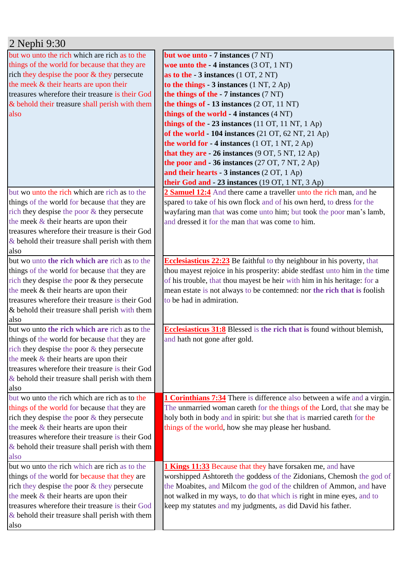| 2 Nephi 9:30                                           |                                                                                 |  |
|--------------------------------------------------------|---------------------------------------------------------------------------------|--|
| but wo unto the rich which are rich as to the          | but woe unto - 7 instances (7 NT)                                               |  |
| things of the world for because that they are          | woe unto the $-4$ instances $(3 OT, 1 NT)$                                      |  |
| rich they despise the poor & they persecute            | as to the $-3$ instances $(1 OT, 2 NT)$                                         |  |
| the meek & their hearts are upon their                 | to the things $-3$ instances $(1 \text{ NT}, 2 \text{ Ap})$                     |  |
| treasures wherefore their treasure is their God        | the things of the $-7$ instances $(7 \text{ NT})$                               |  |
| & behold their treasure shall perish with them         | the things of - 13 instances (2 OT, 11 NT)                                      |  |
| also                                                   | things of the world - 4 instances (4 NT)                                        |  |
|                                                        | things of the $-23$ instances (11 OT, 11 NT, 1 Ap)                              |  |
|                                                        | of the world $-104$ instances (21 OT, 62 NT, 21 Ap)                             |  |
|                                                        | the world for $-4$ instances (1 OT, 1 NT, 2 Ap)                                 |  |
|                                                        | that they are - 26 instances (9 OT, 5 NT, 12 Ap)                                |  |
|                                                        | the poor and $-36$ instances (27 OT, 7 NT, 2 Ap)                                |  |
|                                                        | and their hearts - $3$ instances (2 OT, 1 Ap)                                   |  |
|                                                        | their God and - 23 instances (19 OT, 1 NT, 3 Ap)                                |  |
| but wo unto the rich which are rich as to the          | 2 Samuel 12:4 And there came a traveller unto the rich man, and he              |  |
| things of the world for because that they are          | spared to take of his own flock and of his own herd, to dress for the           |  |
| rich they despise the poor $&$ they persecute          | wayfaring man that was come unto him; but took the poor man's lamb,             |  |
| the meek $&$ their hearts are upon their               | and dressed it for the man that was come to him.                                |  |
| treasures wherefore their treasure is their God        |                                                                                 |  |
| $\&$ behold their treasure shall perish with them      |                                                                                 |  |
| also                                                   |                                                                                 |  |
| but wo unto the rich which are rich as to the          | <b>Ecclesiasticus 22:23</b> Be faithful to thy neighbour in his poverty, that   |  |
| things of the world for because that they are          | thou mayest rejoice in his prosperity: abide stedfast unto him in the time      |  |
| rich they despise the poor & they persecute            | of his trouble, that thou mayest be heir with him in his heritage: for a        |  |
| the meek & their hearts are upon their                 | mean estate is not always to be contemned: nor the rich that is foolish         |  |
| treasures wherefore their treasure is their God        | to be had in admiration.                                                        |  |
| & behold their treasure shall perish with them<br>also |                                                                                 |  |
| but wo unto the rich which are rich as to the          | <b>Ecclesiasticus 31:8</b> Blessed is the rich that is found without blemish,   |  |
| things of the world for because that they are          | and hath not gone after gold.                                                   |  |
| rich they despise the poor $&$ they persecute          |                                                                                 |  |
| the meek $\&$ their hearts are upon their              |                                                                                 |  |
| treasures wherefore their treasure is their God        |                                                                                 |  |
| $\&$ behold their treasure shall perish with them      |                                                                                 |  |
| also                                                   |                                                                                 |  |
| but wo unto the rich which are rich as to the          | <b>1 Corinthians 7:34</b> There is difference also between a wife and a virgin. |  |
| things of the world for because that they are          | The unmarried woman careth for the things of the Lord, that she may be          |  |
| rich they despise the poor $&$ they persecute          | holy both in body and in spirit: but she that is married careth for the         |  |
| the meek $&$ their hearts are upon their               | things of the world, how she may please her husband.                            |  |
| treasures wherefore their treasure is their God        |                                                                                 |  |
| $\&$ behold their treasure shall perish with them      |                                                                                 |  |
| also                                                   |                                                                                 |  |
| but wo unto the rich which are rich as to the          | <b>1 Kings 11:33</b> Because that they have forsaken me, and have               |  |
| things of the world for because that they are          | worshipped Ashtoreth the goddess of the Zidonians, Chemosh the god of           |  |
| rich they despise the poor & they persecute            | the Moabites, and Milcom the god of the children of Ammon, and have             |  |
| the meek $&$ their hearts are upon their               | not walked in my ways, to do that which is right in mine eyes, and to           |  |
| treasures wherefore their treasure is their God        | keep my statutes and my judgments, as did David his father.                     |  |
| $\&$ behold their treasure shall perish with them      |                                                                                 |  |
| also                                                   |                                                                                 |  |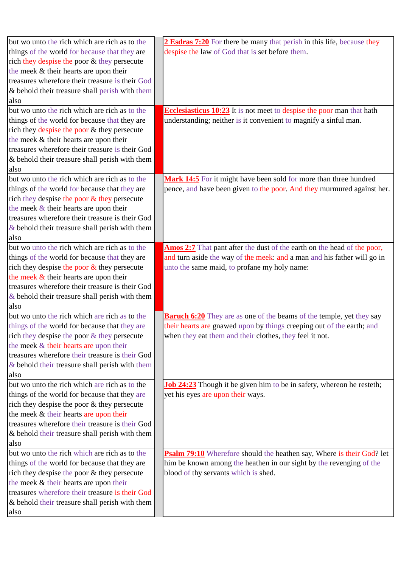| but wo unto the rich which are rich as to the                                             | 2 Esdras 7:20 For there be many that perish in this life, because they       |
|-------------------------------------------------------------------------------------------|------------------------------------------------------------------------------|
| things of the world for because that they are                                             | despise the law of God that is set before them.                              |
| rich they despise the poor & they persecute                                               |                                                                              |
| the meek & their hearts are upon their                                                    |                                                                              |
| treasures wherefore their treasure is their God                                           |                                                                              |
| & behold their treasure shall perish with them                                            |                                                                              |
| also                                                                                      |                                                                              |
| but wo unto the rich which are rich as to the                                             | <b>Ecclesiasticus 10:23</b> It is not meet to despise the poor man that hath |
| things of the world for because that they are                                             | understanding; neither is it convenient to magnify a sinful man.             |
| rich they despise the poor & they persecute                                               |                                                                              |
| the meek & their hearts are upon their                                                    |                                                                              |
| treasures wherefore their treasure is their God                                           |                                                                              |
| & behold their treasure shall perish with them                                            |                                                                              |
| also                                                                                      |                                                                              |
| but wo unto the rich which are rich as to the                                             | Mark 14:5 For it might have been sold for more than three hundred            |
| things of the world for because that they are                                             | pence, and have been given to the poor. And they murmured against her.       |
| rich they despise the poor & they persecute                                               |                                                                              |
| the meek $&$ their hearts are upon their                                                  |                                                                              |
| treasures wherefore their treasure is their God                                           |                                                                              |
| $\&$ behold their treasure shall perish with them                                         |                                                                              |
| also                                                                                      |                                                                              |
| but wo unto the rich which are rich as to the                                             | Amos 2:7 That pant after the dust of the earth on the head of the poor,      |
| things of the world for because that they are                                             | and turn aside the way of the meek: and a man and his father will go in      |
| rich they despise the poor $\&$ they persecute                                            | unto the same maid, to profane my holy name:                                 |
| the meek & their hearts are upon their                                                    |                                                                              |
| treasures wherefore their treasure is their God                                           |                                                                              |
|                                                                                           |                                                                              |
| $&$ behold their treasure shall perish with them<br>also                                  |                                                                              |
| but wo unto the rich which are rich as to the                                             | <b>Baruch 6:20</b> They are as one of the beams of the temple, yet they say  |
| things of the world for because that they are                                             | their hearts are gnawed upon by things creeping out of the earth; and        |
| rich they despise the poor $&$ they persecute                                             | when they eat them and their clothes, they feel it not.                      |
| the meek & their hearts are upon their                                                    |                                                                              |
| treasures wherefore their treasure is their God                                           |                                                                              |
|                                                                                           |                                                                              |
| $\&$ behold their treasure shall perish with them<br>also                                 |                                                                              |
| but wo unto the rich which are rich as to the                                             | <b>Job 24:23</b> Though it be given him to be in safety, whereon he resteth; |
| things of the world for because that they are                                             | yet his eyes are upon their ways.                                            |
| rich they despise the poor & they persecute                                               |                                                                              |
| the meek & their hearts are upon their                                                    |                                                                              |
| treasures wherefore their treasure is their God                                           |                                                                              |
| & behold their treasure shall perish with them                                            |                                                                              |
|                                                                                           |                                                                              |
| also<br>but wo unto the rich which are rich as to the                                     | <b>Psalm 79:10</b> Wherefore should the heathen say, Where is their God? let |
| things of the world for because that they are                                             |                                                                              |
|                                                                                           | him be known among the heathen in our sight by the revenging of the          |
| rich they despise the poor & they persecute                                               | blood of thy servants which is shed.                                         |
| the meek & their hearts are upon their<br>treasures wherefore their treasure is their God |                                                                              |
|                                                                                           |                                                                              |
| & behold their treasure shall perish with them                                            |                                                                              |
| also                                                                                      |                                                                              |